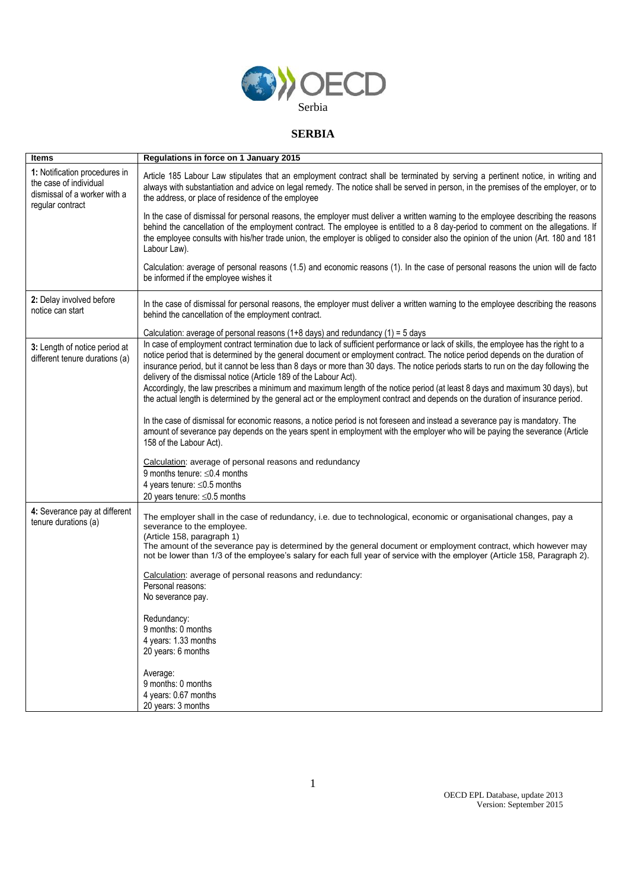

## **SERBIA**

| <b>Items</b>                                                                                                | Regulations in force on 1 January 2015                                                                                                                                                                                                                                                                                                                                                                                                                                                                                                                                                                                                                                                                                                             |
|-------------------------------------------------------------------------------------------------------------|----------------------------------------------------------------------------------------------------------------------------------------------------------------------------------------------------------------------------------------------------------------------------------------------------------------------------------------------------------------------------------------------------------------------------------------------------------------------------------------------------------------------------------------------------------------------------------------------------------------------------------------------------------------------------------------------------------------------------------------------------|
| 1: Notification procedures in<br>the case of individual<br>dismissal of a worker with a<br>regular contract | Article 185 Labour Law stipulates that an employment contract shall be terminated by serving a pertinent notice, in writing and<br>always with substantiation and advice on legal remedy. The notice shall be served in person, in the premises of the employer, or to<br>the address, or place of residence of the employee                                                                                                                                                                                                                                                                                                                                                                                                                       |
|                                                                                                             | In the case of dismissal for personal reasons, the employer must deliver a written warning to the employee describing the reasons<br>behind the cancellation of the employment contract. The employee is entitled to a 8 day-period to comment on the allegations. If<br>the employee consults with his/her trade union, the employer is obliged to consider also the opinion of the union (Art. 180 and 181<br>Labour Law).                                                                                                                                                                                                                                                                                                                       |
|                                                                                                             | Calculation: average of personal reasons (1.5) and economic reasons (1). In the case of personal reasons the union will de facto<br>be informed if the employee wishes it                                                                                                                                                                                                                                                                                                                                                                                                                                                                                                                                                                          |
| 2: Delay involved before<br>notice can start                                                                | In the case of dismissal for personal reasons, the employer must deliver a written warning to the employee describing the reasons<br>behind the cancellation of the employment contract.                                                                                                                                                                                                                                                                                                                                                                                                                                                                                                                                                           |
|                                                                                                             | Calculation: average of personal reasons (1+8 days) and redundancy (1) = $5$ days                                                                                                                                                                                                                                                                                                                                                                                                                                                                                                                                                                                                                                                                  |
| 3: Length of notice period at<br>different tenure durations (a)                                             | In case of employment contract termination due to lack of sufficient performance or lack of skills, the employee has the right to a<br>notice period that is determined by the general document or employment contract. The notice period depends on the duration of<br>insurance period, but it cannot be less than 8 days or more than 30 days. The notice periods starts to run on the day following the<br>delivery of the dismissal notice (Article 189 of the Labour Act).<br>Accordingly, the law prescribes a minimum and maximum length of the notice period (at least 8 days and maximum 30 days), but<br>the actual length is determined by the general act or the employment contract and depends on the duration of insurance period. |
|                                                                                                             | In the case of dismissal for economic reasons, a notice period is not foreseen and instead a severance pay is mandatory. The<br>amount of severance pay depends on the years spent in employment with the employer who will be paying the severance (Article<br>158 of the Labour Act).                                                                                                                                                                                                                                                                                                                                                                                                                                                            |
|                                                                                                             | Calculation: average of personal reasons and redundancy<br>9 months tenure: $\leq$ 0.4 months<br>4 years tenure: $\leq 0.5$ months                                                                                                                                                                                                                                                                                                                                                                                                                                                                                                                                                                                                                 |
|                                                                                                             | 20 years tenure: $\leq 0.5$ months                                                                                                                                                                                                                                                                                                                                                                                                                                                                                                                                                                                                                                                                                                                 |
| 4: Severance pay at different<br>tenure durations (a)                                                       | The employer shall in the case of redundancy, i.e. due to technological, economic or organisational changes, pay a<br>severance to the employee.<br>(Article 158, paragraph 1)<br>The amount of the severance pay is determined by the general document or employment contract, which however may<br>not be lower than 1/3 of the employee's salary for each full year of service with the employer (Article 158, Paragraph 2).                                                                                                                                                                                                                                                                                                                    |
|                                                                                                             | Calculation: average of personal reasons and redundancy:<br>Personal reasons:<br>No severance pay.                                                                                                                                                                                                                                                                                                                                                                                                                                                                                                                                                                                                                                                 |
|                                                                                                             | Redundancy:<br>9 months: 0 months<br>4 years: 1.33 months<br>20 years: 6 months                                                                                                                                                                                                                                                                                                                                                                                                                                                                                                                                                                                                                                                                    |
|                                                                                                             | Average:<br>9 months: 0 months<br>4 years: 0.67 months<br>20 years: 3 months                                                                                                                                                                                                                                                                                                                                                                                                                                                                                                                                                                                                                                                                       |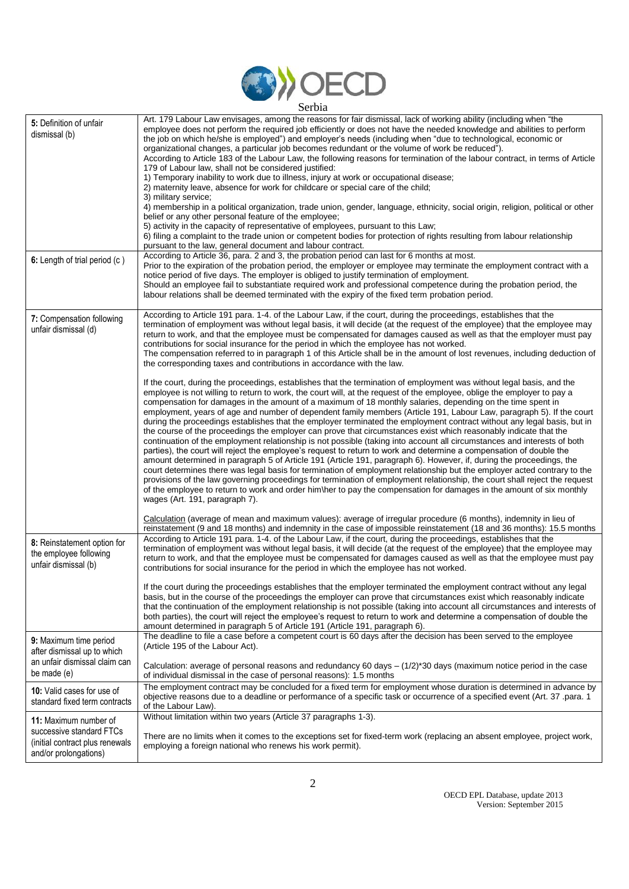

| 5: Definition of unfair<br>dismissal (b)                                                                      | Art. 179 Labour Law envisages, among the reasons for fair dismissal, lack of working ability (including when "the<br>employee does not perform the required job efficiently or does not have the needed knowledge and abilities to perform<br>the job on which he/she is employed") and employer's needs (including when "due to technological, economic or<br>organizational changes, a particular job becomes redundant or the volume of work be reduced").<br>According to Article 183 of the Labour Law, the following reasons for termination of the labour contract, in terms of Article<br>179 of Labour law, shall not be considered justified:<br>1) Temporary inability to work due to illness, injury at work or occupational disease;<br>2) maternity leave, absence for work for childcare or special care of the child;<br>3) military service;<br>4) membership in a political organization, trade union, gender, language, ethnicity, social origin, religion, political or other<br>belief or any other personal feature of the employee;<br>5) activity in the capacity of representative of employees, pursuant to this Law;<br>6) filing a complaint to the trade union or competent bodies for protection of rights resulting from labour relationship<br>pursuant to the law, general document and labour contract.                                                                                                                                                                                            |
|---------------------------------------------------------------------------------------------------------------|--------------------------------------------------------------------------------------------------------------------------------------------------------------------------------------------------------------------------------------------------------------------------------------------------------------------------------------------------------------------------------------------------------------------------------------------------------------------------------------------------------------------------------------------------------------------------------------------------------------------------------------------------------------------------------------------------------------------------------------------------------------------------------------------------------------------------------------------------------------------------------------------------------------------------------------------------------------------------------------------------------------------------------------------------------------------------------------------------------------------------------------------------------------------------------------------------------------------------------------------------------------------------------------------------------------------------------------------------------------------------------------------------------------------------------------------------------------------------------------------------------------------------------------|
| 6: Length of trial period (c)                                                                                 | According to Article 36, para. 2 and 3, the probation period can last for 6 months at most.<br>Prior to the expiration of the probation period, the employer or employee may terminate the employment contract with a<br>notice period of five days. The employer is obliged to justify termination of employment.<br>Should an employee fail to substantiate required work and professional competence during the probation period, the<br>labour relations shall be deemed terminated with the expiry of the fixed term probation period.                                                                                                                                                                                                                                                                                                                                                                                                                                                                                                                                                                                                                                                                                                                                                                                                                                                                                                                                                                                          |
| 7: Compensation following<br>unfair dismissal (d)                                                             | According to Article 191 para. 1-4. of the Labour Law, if the court, during the proceedings, establishes that the<br>termination of employment was without legal basis, it will decide (at the request of the employee) that the employee may<br>return to work, and that the employee must be compensated for damages caused as well as that the employer must pay<br>contributions for social insurance for the period in which the employee has not worked.<br>The compensation referred to in paragraph 1 of this Article shall be in the amount of lost revenues, including deduction of<br>the corresponding taxes and contributions in accordance with the law.                                                                                                                                                                                                                                                                                                                                                                                                                                                                                                                                                                                                                                                                                                                                                                                                                                                               |
|                                                                                                               | If the court, during the proceedings, establishes that the termination of employment was without legal basis, and the<br>employee is not willing to return to work, the court will, at the request of the employee, oblige the employer to pay a<br>compensation for damages in the amount of a maximum of 18 monthly salaries, depending on the time spent in<br>employment, years of age and number of dependent family members (Article 191, Labour Law, paragraph 5). If the court<br>during the proceedings establishes that the employer terminated the employment contract without any legal basis, but in<br>the course of the proceedings the employer can prove that circumstances exist which reasonably indicate that the<br>continuation of the employment relationship is not possible (taking into account all circumstances and interests of both<br>parties), the court will reject the employee's request to return to work and determine a compensation of double the<br>amount determined in paragraph 5 of Article 191 (Article 191, paragraph 6). However, if, during the proceedings, the<br>court determines there was legal basis for termination of employment relationship but the employer acted contrary to the<br>provisions of the law governing proceedings for termination of employment relationship, the court shall reject the request<br>of the employee to return to work and order him\her to pay the compensation for damages in the amount of six monthly<br>wages (Art. 191, paragraph 7). |
| 8: Reinstatement option for<br>the employee following<br>unfair dismissal (b)                                 | Calculation (average of mean and maximum values): average of irregular procedure (6 months), indemnity in lieu of<br>reinstatement (9 and 18 months) and indemnity in the case of impossible reinstatement (18 and 36 months): 15.5 months<br>According to Article 191 para. 1-4. of the Labour Law, if the court, during the proceedings, establishes that the<br>termination of employment was without legal basis, it will decide (at the request of the employee) that the employee may<br>return to work, and that the employee must be compensated for damages caused as well as that the employee must pay<br>contributions for social insurance for the period in which the employee has not worked.                                                                                                                                                                                                                                                                                                                                                                                                                                                                                                                                                                                                                                                                                                                                                                                                                         |
|                                                                                                               | If the court during the proceedings establishes that the employer terminated the employment contract without any legal<br>basis, but in the course of the proceedings the employer can prove that circumstances exist which reasonably indicate<br>that the continuation of the employment relationship is not possible (taking into account all circumstances and interests of<br>both parties), the court will reject the employee's request to return to work and determine a compensation of double the<br>amount determined in paragraph 5 of Article 191 (Article 191, paragraph 6).                                                                                                                                                                                                                                                                                                                                                                                                                                                                                                                                                                                                                                                                                                                                                                                                                                                                                                                                           |
| 9: Maximum time period<br>after dismissal up to which<br>an unfair dismissal claim can<br>be made (e)         | The deadline to file a case before a competent court is 60 days after the decision has been served to the employee<br>(Article 195 of the Labour Act).<br>Calculation: average of personal reasons and redundancy 60 days $-(1/2)^*30$ days (maximum notice period in the case<br>of individual dismissal in the case of personal reasons): 1.5 months                                                                                                                                                                                                                                                                                                                                                                                                                                                                                                                                                                                                                                                                                                                                                                                                                                                                                                                                                                                                                                                                                                                                                                               |
| 10: Valid cases for use of<br>standard fixed term contracts                                                   | The employment contract may be concluded for a fixed term for employment whose duration is determined in advance by<br>objective reasons due to a deadline or performance of a specific task or occurrence of a specified event (Art. 37 .para. 1<br>of the Labour Law).                                                                                                                                                                                                                                                                                                                                                                                                                                                                                                                                                                                                                                                                                                                                                                                                                                                                                                                                                                                                                                                                                                                                                                                                                                                             |
| 11: Maximum number of<br>successive standard FTCs<br>(initial contract plus renewals<br>and/or prolongations) | Without limitation within two years (Article 37 paragraphs 1-3).<br>There are no limits when it comes to the exceptions set for fixed-term work (replacing an absent employee, project work,<br>employing a foreign national who renews his work permit).                                                                                                                                                                                                                                                                                                                                                                                                                                                                                                                                                                                                                                                                                                                                                                                                                                                                                                                                                                                                                                                                                                                                                                                                                                                                            |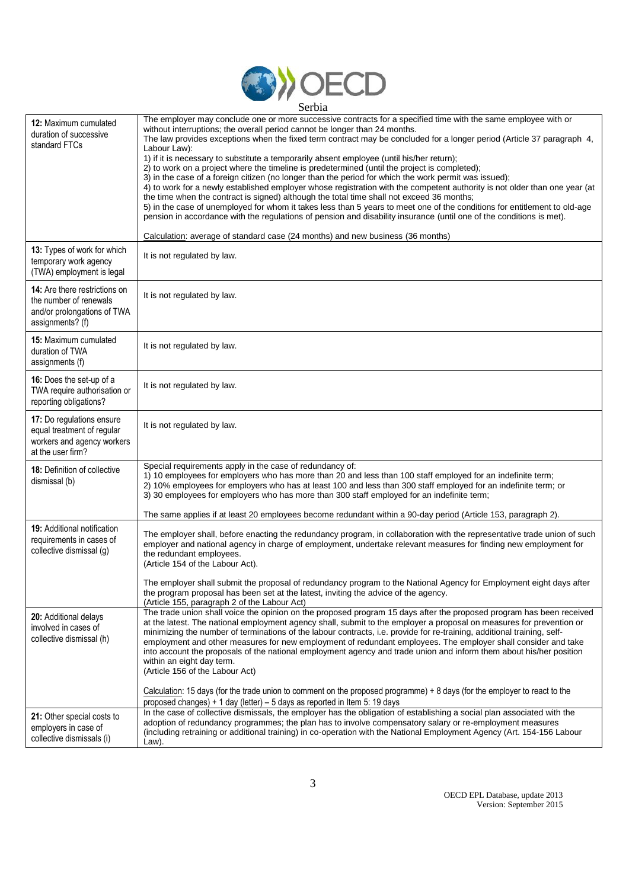

| 12: Maximum cumulated<br>duration of successive<br>standard FTCs                                                  | The employer may conclude one or more successive contracts for a specified time with the same employee with or<br>without interruptions; the overall period cannot be longer than 24 months.<br>The law provides exceptions when the fixed term contract may be concluded for a longer period (Article 37 paragraph 4,<br>Labour Law):<br>1) if it is necessary to substitute a temporarily absent employee (until his/her return);<br>2) to work on a project where the timeline is predetermined (until the project is completed);<br>3) in the case of a foreign citizen (no longer than the period for which the work permit was issued);<br>4) to work for a newly established employer whose registration with the competent authority is not older than one year (at<br>the time when the contract is signed) although the total time shall not exceed 36 months;<br>5) in the case of unemployed for whom it takes less than 5 years to meet one of the conditions for entitlement to old-age<br>pension in accordance with the regulations of pension and disability insurance (until one of the conditions is met).<br>Calculation: average of standard case (24 months) and new business (36 months) |
|-------------------------------------------------------------------------------------------------------------------|-----------------------------------------------------------------------------------------------------------------------------------------------------------------------------------------------------------------------------------------------------------------------------------------------------------------------------------------------------------------------------------------------------------------------------------------------------------------------------------------------------------------------------------------------------------------------------------------------------------------------------------------------------------------------------------------------------------------------------------------------------------------------------------------------------------------------------------------------------------------------------------------------------------------------------------------------------------------------------------------------------------------------------------------------------------------------------------------------------------------------------------------------------------------------------------------------------------------|
| 13: Types of work for which<br>temporary work agency<br>(TWA) employment is legal                                 | It is not regulated by law.                                                                                                                                                                                                                                                                                                                                                                                                                                                                                                                                                                                                                                                                                                                                                                                                                                                                                                                                                                                                                                                                                                                                                                                     |
| <b>14:</b> Are there restrictions on<br>the number of renewals<br>and/or prolongations of TWA<br>assignments? (f) | It is not regulated by law.                                                                                                                                                                                                                                                                                                                                                                                                                                                                                                                                                                                                                                                                                                                                                                                                                                                                                                                                                                                                                                                                                                                                                                                     |
| 15: Maximum cumulated<br>duration of TWA<br>assignments (f)                                                       | It is not regulated by law.                                                                                                                                                                                                                                                                                                                                                                                                                                                                                                                                                                                                                                                                                                                                                                                                                                                                                                                                                                                                                                                                                                                                                                                     |
| 16: Does the set-up of a<br>TWA require authorisation or<br>reporting obligations?                                | It is not regulated by law.                                                                                                                                                                                                                                                                                                                                                                                                                                                                                                                                                                                                                                                                                                                                                                                                                                                                                                                                                                                                                                                                                                                                                                                     |
| 17: Do regulations ensure<br>equal treatment of regular<br>workers and agency workers<br>at the user firm?        | It is not regulated by law.                                                                                                                                                                                                                                                                                                                                                                                                                                                                                                                                                                                                                                                                                                                                                                                                                                                                                                                                                                                                                                                                                                                                                                                     |
| 18: Definition of collective<br>dismissal (b)                                                                     | Special requirements apply in the case of redundancy of:<br>1) 10 employees for employers who has more than 20 and less than 100 staff employed for an indefinite term;<br>2) 10% employees for employers who has at least 100 and less than 300 staff employed for an indefinite term; or<br>3) 30 employees for employers who has more than 300 staff employed for an indefinite term;<br>The same applies if at least 20 employees become redundant within a 90-day period (Article 153, paragraph 2).                                                                                                                                                                                                                                                                                                                                                                                                                                                                                                                                                                                                                                                                                                       |
| <b>19:</b> Additional notification<br>requirements in cases of<br>collective dismissal (g)                        | The employer shall, before enacting the redundancy program, in collaboration with the representative trade union of such<br>employer and national agency in charge of employment, undertake relevant measures for finding new employment for<br>the redundant employees.<br>(Article 154 of the Labour Act).<br>The employer shall submit the proposal of redundancy program to the National Agency for Employment eight days after<br>the program proposal has been set at the latest, inviting the advice of the agency.                                                                                                                                                                                                                                                                                                                                                                                                                                                                                                                                                                                                                                                                                      |
| 20: Additional delays<br>involved in cases of<br>collective dismissal (h)                                         | (Article 155, paragraph 2 of the Labour Act)<br>The trade union shall voice the opinion on the proposed program 15 days after the proposed program has been received<br>at the latest. The national employment agency shall, submit to the employer a proposal on measures for prevention or<br>minimizing the number of terminations of the labour contracts, i.e. provide for re-training, additional training, self-<br>employment and other measures for new employment of redundant employees. The employer shall consider and take<br>into account the proposals of the national employment agency and trade union and inform them about his/her position<br>within an eight day term.<br>(Article 156 of the Labour Act)<br>Calculation: 15 days (for the trade union to comment on the proposed programme) + 8 days (for the employer to react to the                                                                                                                                                                                                                                                                                                                                                   |
| 21: Other special costs to<br>employers in case of<br>collective dismissals (i)                                   | proposed changes) + 1 day (letter) $-5$ days as reported in Item 5: 19 days<br>In the case of collective dismissals, the employer has the obligation of establishing a social plan associated with the<br>adoption of redundancy programmes; the plan has to involve compensatory salary or re-employment measures<br>(including retraining or additional training) in co-operation with the National Employment Agency (Art. 154-156 Labour<br>Law).                                                                                                                                                                                                                                                                                                                                                                                                                                                                                                                                                                                                                                                                                                                                                           |